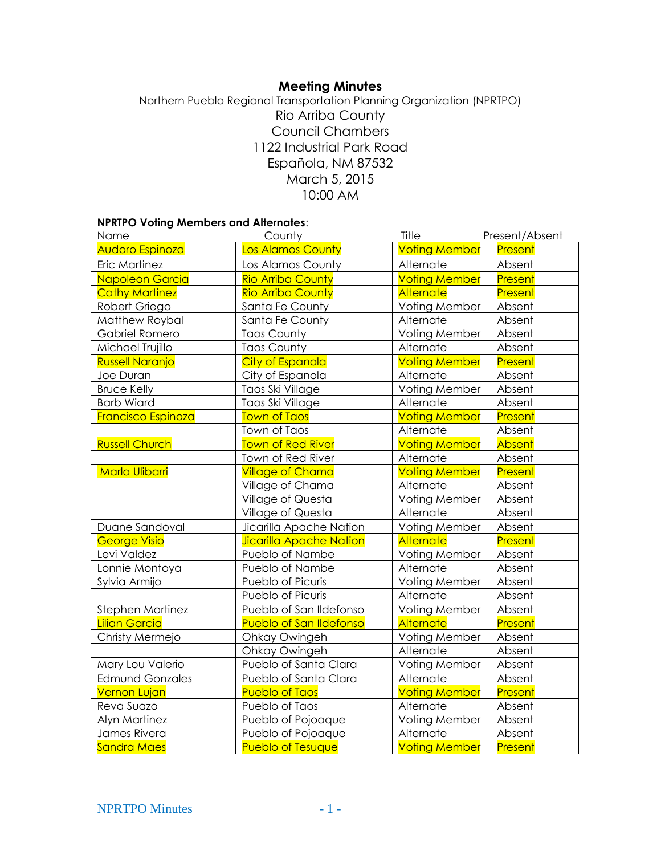# **Meeting Minutes**

Northern Pueblo Regional Transportation Planning Organization (NPRTPO) Rio Arriba County Council Chambers 1122 Industrial Park Road Española, NM 87532 March 5, 2015 10:00 AM

## **NPRTPO Voting Members and Alternates**:

| Name                   | County                         | Title                | Present/Absent |
|------------------------|--------------------------------|----------------------|----------------|
| Audoro Espinoza        | Los Alamos County              | <b>Voting Member</b> | <b>Present</b> |
| Eric Martinez          | Los Alamos County              | Alternate            | Absent         |
| <b>Napoleon Garcia</b> | <b>Rio Arriba County</b>       | <b>Voting Member</b> | Present        |
| <b>Cathy Martinez</b>  | <b>Rio Arriba County</b>       | <b>Alternate</b>     | Present        |
| Robert Griego          | Santa Fe County                | Voting Member        | Absent         |
| Matthew Roybal         | Santa Fe County                | Alternate            | Absent         |
| Gabriel Romero         | <b>Taos County</b>             | Voting Member        | Absent         |
| Michael Trujillo       | <b>Taos County</b>             | Alternate            | Absent         |
| <b>Russell Naranjo</b> | <b>City of Espanola</b>        | <b>Voting Member</b> | Present        |
| Joe Duran              | City of Espanola               | Alternate            | Absent         |
| <b>Bruce Kelly</b>     | Taos Ski Village               | Voting Member        | Absent         |
| <b>Barb Wiard</b>      | Taos Ski Village               | Alternate            | Absent         |
| Francisco Espinoza     | <b>Town of Taos</b>            | <b>Voting Member</b> | Present        |
|                        | Town of Taos                   | Alternate            | Absent         |
| <b>Russell Church</b>  | <b>Town of Red River</b>       | <b>Voting Member</b> | <b>Absent</b>  |
|                        | Town of Red River              | Alternate            | Absent         |
| <b>Marla Ulibarri</b>  | <b>Village of Chama</b>        | <b>Voting Member</b> | Present        |
|                        | Village of Chama               | Alternate            | Absent         |
|                        | Village of Questa              | Voting Member        | Absent         |
|                        | Village of Questa              | Alternate            | Absent         |
| Duane Sandoval         | Jicarilla Apache Nation        | Voting Member        | Absent         |
| <b>George Visio</b>    | <b>Jicarilla Apache Nation</b> | Alternate            | Present        |
| Levi Valdez            | Pueblo of Nambe                | Voting Member        | Absent         |
| Lonnie Montoya         | Pueblo of Nambe                | Alternate            | Absent         |
| Sylvia Armijo          | Pueblo of Picuris              | Voting Member        | Absent         |
|                        | Pueblo of Picuris              | Alternate            | Absent         |
| Stephen Martinez       | Pueblo of San Ildefonso        | Voting Member        | Absent         |
| <b>Lilian Garcia</b>   | <b>Pueblo of San Ildefonso</b> | <b>Alternate</b>     | Present        |
| Christy Mermejo        | Ohkay Owingeh                  | Voting Member        | Absent         |
|                        | Ohkay Owingeh                  | Alternate            | Absent         |
| Mary Lou Valerio       | Pueblo of Santa Clara          | Voting Member        | Absent         |
| <b>Edmund Gonzales</b> | Pueblo of Santa Clara          | Alternate            | Absent         |
| <b>Vernon Lujan</b>    | <b>Pueblo of Taos</b>          | <b>Voting Member</b> | Present        |
| Reva Suazo             | Pueblo of Taos                 | Alternate            | Absent         |
| <b>Alyn Martinez</b>   | Pueblo of Pojoaque             | Voting Member        | Absent         |
| James Rivera           | Pueblo of Pojoaque             | Alternate            | Absent         |
| <b>Sandra Maes</b>     | <b>Pueblo of Tesuque</b>       | <b>Voting Member</b> | Present        |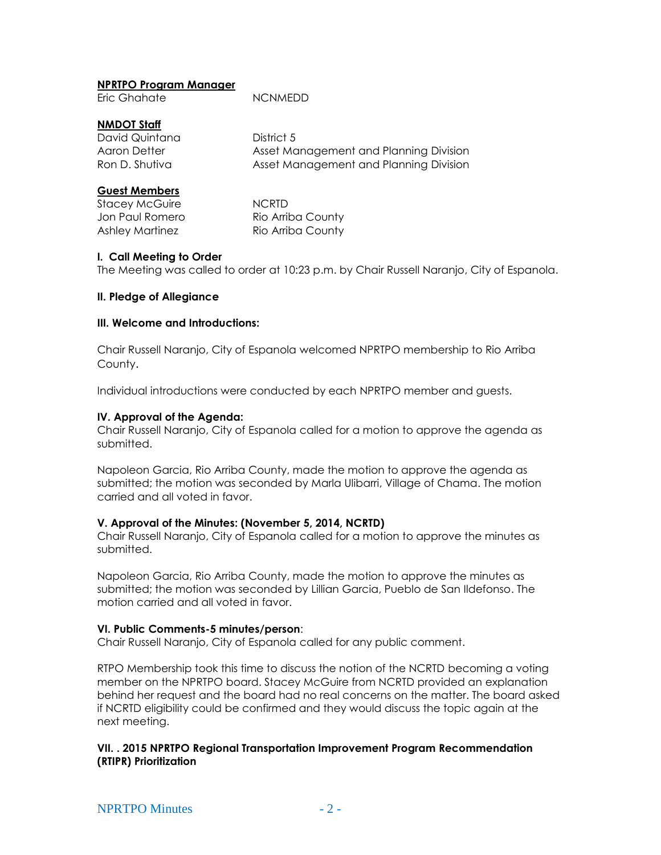### **NPRTPO Program Manager**

Eric Ghahate NCNMEDD

## **NMDOT Staff**

David Quintana **District 5** Aaron Detter **Asset Management and Planning Division** Ron D. Shutiva **Asset Management and Planning Division** 

## **Guest Members**

Stacey McGuire **NCRTD** 

Jon Paul Romero Rio Arriba County Ashley Martinez Rio Arriba County

#### **I. Call Meeting to Order**

The Meeting was called to order at 10:23 p.m. by Chair Russell Naranjo, City of Espanola.

## **II. Pledge of Allegiance**

#### **III. Welcome and Introductions:**

Chair Russell Naranjo, City of Espanola welcomed NPRTPO membership to Rio Arriba County.

Individual introductions were conducted by each NPRTPO member and guests.

## **IV. Approval of the Agenda:**

Chair Russell Naranjo, City of Espanola called for a motion to approve the agenda as submitted.

Napoleon Garcia, Rio Arriba County, made the motion to approve the agenda as submitted; the motion was seconded by Marla Ulibarri, Village of Chama. The motion carried and all voted in favor.

#### **V. Approval of the Minutes: (November 5, 2014, NCRTD)**

Chair Russell Naranjo, City of Espanola called for a motion to approve the minutes as submitted.

Napoleon Garcia, Rio Arriba County, made the motion to approve the minutes as submitted; the motion was seconded by Lillian Garcia, Pueblo de San Ildefonso. The motion carried and all voted in favor.

#### **VI. Public Comments-5 minutes/person**:

Chair Russell Naranjo, City of Espanola called for any public comment.

RTPO Membership took this time to discuss the notion of the NCRTD becoming a voting member on the NPRTPO board. Stacey McGuire from NCRTD provided an explanation behind her request and the board had no real concerns on the matter. The board asked if NCRTD eligibility could be confirmed and they would discuss the topic again at the next meeting.

**VII. . 2015 NPRTPO Regional Transportation Improvement Program Recommendation (RTIPR) Prioritization**